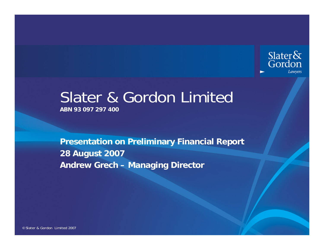

# Slater & Gordon Limited **ABN 93 097 297 400**

**Presentation on Preliminary Financial Report 28 August 2007 Andrew Grech – Managing Director**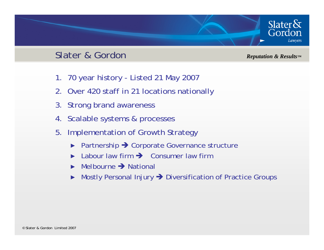#### Slater & Gordon

*Reputation & Results™*

Slater $\&$ 

Gordon

- 1. 70 year history Listed 21 May 2007
- 2. Over 420 staff in 21 locations nationally
- 3. Strong brand awareness
- 4. Scalable systems & processes
- 5. Implementation of Growth Strategy
	- ►Partnership  $\rightarrow$  Corporate Governance structure
	- ► $\blacktriangleright$  Labour law firm  $\blacktriangleright$  Consumer law firm
	- ► $\triangleright$  Melbourne  $\rightarrow$  National
	- ►Mostly Personal Injury  $\rightarrow$  Diversification of Practice Groups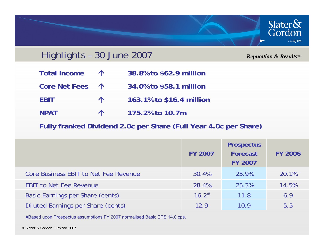

### Highlights – 30 June 2007

*Reputation & Results™*

- Total Income  $\uparrow$  38.8% to \$62.9 million
- **Core Net Fees** Ç **34.0% to \$58.1 million**
- **EBIT** Ç **163.1% to \$16.4 million**
- **NPAT**Ç **175.2% to 10.7m**

**Fully franked Dividend 2.0c per Share (Full Year 4.0c per Share)**

|                                         | <b>FY 2007</b>      | <b>Prospectus</b><br>Forecast<br><b>FY 2007</b> | <b>FY 2006</b> |
|-----------------------------------------|---------------------|-------------------------------------------------|----------------|
| Core Business EBIT to Net Fee Revenue   | 30.4%               | 25.9%                                           | 20.1%          |
| <b>EBIT to Net Fee Revenue</b>          | 28.4%               | 25.3%                                           | 14.5%          |
| <b>Basic Earnings per Share (cents)</b> | $16.2$ <sup>#</sup> | 11.8                                            | 6.9            |
| Diluted Earnings per Share (cents)      | 12.9                | 10.9                                            | 5.5            |

#Based upon Prospectus assumptions FY 2007 normalised Basic EPS 14.0 cps.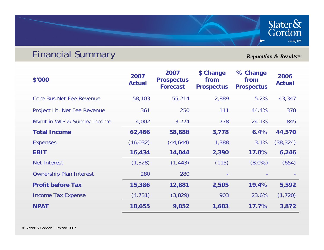## Financial Summary

*Reputation & Results™*

Slater&<br>Gordon

Lawyers

| \$'000                           | 2007<br><b>Actual</b> | 2007<br><b>Prospectus</b><br><b>Forecast</b> | \$ Change<br>from<br><b>Prospectus</b> | % Change<br>from<br><b>Prospectus</b> | 2006<br><b>Actual</b> |
|----------------------------------|-----------------------|----------------------------------------------|----------------------------------------|---------------------------------------|-----------------------|
| <b>Core Bus. Net Fee Revenue</b> | 58,103                | 55,214                                       | 2,889                                  | 5.2%                                  | 43,347                |
| Project Lit. Net Fee Revenue     | 361                   | 250                                          | 111                                    | 44.4%                                 | 378                   |
| Mvmt in WIP & Sundry Income      | 4,002                 | 3,224                                        | 778                                    | 24.1%                                 | 845                   |
| <b>Total Income</b>              | 62,466                | 58,688                                       | 3,778                                  | 6.4%                                  | 44,570                |
| <b>Expenses</b>                  | (46, 032)             | (44, 644)                                    | 1,388                                  | 3.1%                                  | (38, 324)             |
| <b>EBIT</b>                      | 16,434                | 14,044                                       | 2,390                                  | 17.0%                                 | 6,246                 |
| <b>Net Interest</b>              | (1, 328)              | (1, 443)                                     | (115)                                  | $(8.0\%)$                             | (654)                 |
| <b>Ownership Plan Interest</b>   | 280                   | 280                                          |                                        |                                       |                       |
| <b>Profit before Tax</b>         | 15,386                | 12,881                                       | 2,505                                  | 19.4%                                 | 5,592                 |
| <b>Income Tax Expense</b>        | (4, 731)              | (3,829)                                      | 903                                    | 23.6%                                 | (1, 720)              |
| <b>NPAT</b>                      | 10,655                | 9,052                                        | 1,603                                  | 17.7%                                 | 3,872                 |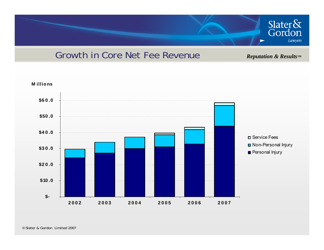

## Growth in Core Net Fee Revenue

*Reputation & Results™*

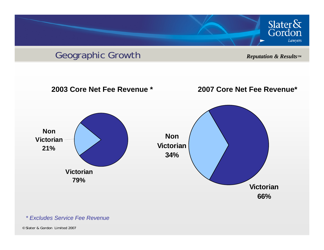



#### *\* Excludes Service Fee Revenue*

© Slater & Gordon Limited 2007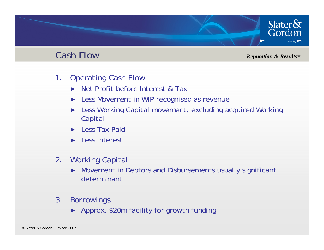### Cash Flow

*Reputation & Results™*

Slater $\delta$ 

Gordon

- 1. Operating Cash Flow
	- ►Net Profit before Interest & Tax
	- ►Less Movement in WIP recognised as revenue
	- ► Less Working Capital movement, excluding acquired Working Capital
	- ►Less Tax Paid
	- ► Less Interest
- 2. Working Capital
	- ► Movement in Debtors and Disbursements usually significant determinant
- 3. Borrowings
	- ► Approx. \$20m facility for growth funding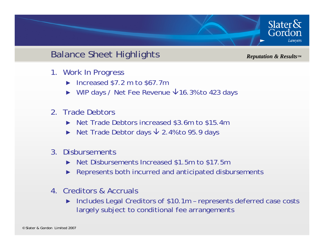

## Balance Sheet Highlights

*Reputation & Results™*

- 1. Work In Progress
	- ► Increased \$7.2 m to \$67.7m
	- $\triangleright$  WIP days / Net Fee Revenue  $\bigtriangledown$ 16.3% to 423 days
- 2. Trade Debtors
	- ► Net Trade Debtors increased \$3.6m to \$15.4m
	- ► Net Trade Debtor days  $\sqrt{2.4\%}$  to 95.9 days
- 3. Disbursements
	- ► Net Disbursements Increased \$1.5m to \$17.5m
	- ► Represents both incurred and anticipated disbursements
- 4. Creditors & Accruals
	- ► Includes Legal Creditors of \$10.1m – represents deferred case costs largely subject to conditional fee arrangements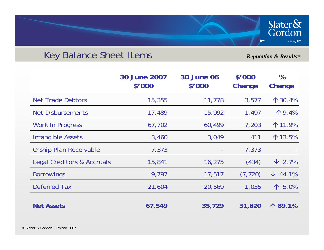## Key Balance Sheet Items

*Reputation & Results™*

Slater&<br>Gordon

Lawyers

|                                       | 30 June 2007<br>\$'000 | <b>30 June 06</b><br>\$'000 | \$'000<br>Change | $\%$<br>Change   |
|---------------------------------------|------------------------|-----------------------------|------------------|------------------|
| <b>Net Trade Debtors</b>              | 15,355                 | 11,778                      | 3,577            | $\uparrow$ 30.4% |
| <b>Net Disbursements</b>              | 17,489                 | 15,992                      | 1,497            | 个9.4%            |
| <b>Work In Progress</b>               | 67,702                 | 60,499                      | 7,203            | $\uparrow$ 11.9% |
| Intangible Assets                     | 3,460                  | 3,049                       | 411              | $\uparrow$ 13.5% |
| O'ship Plan Receivable                | 7,373                  |                             | 7,373            |                  |
| <b>Legal Creditors &amp; Accruals</b> | 15,841                 | 16,275                      | (434)            | $\sqrt{2.7\%}$   |
| <b>Borrowings</b>                     | 9,797                  | 17,517                      | (7, 720)         | $\sqrt{44.1\%}$  |
| Deferred Tax                          | 21,604                 | 20,569                      | 1,035            | $\uparrow 5.0\%$ |
| <b>Net Assets</b>                     | 67,549                 | 35,729                      | 31,820           | 个 89.1%          |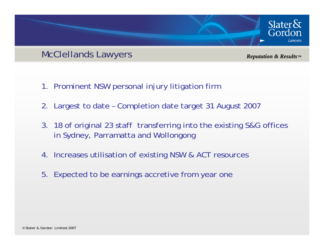#### McClellands Lawyers

*Reputation & Results™*

Slater $\delta$ 

Gordon

- 1. Prominent NSW personal injury litigation firm
- 2. Largest to date Completion date target 31 August 2007
- 3. 18 of original 23 staff transferring into the existing S&G offices in Sydney, Parramatta and Wollongong
- 4. Increases utilisation of existing NSW & ACT resources
- 5. Expected to be earnings accretive from year one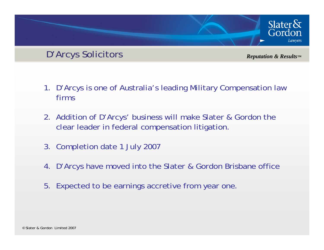## D'Arcys Solicitors

*Reputation & Results™*

Slater $\delta x$ 

Gordon

- 1. D'Arcys is one of Australia's leading Military Compensation law firms
- 2. Addition of D'Arcys' business will make Slater & Gordon the clear leader in federal compensation litigation.
- 3. Completion date 1 July 2007
- 4. D'Arcys have moved into the Slater & Gordon Brisbane office
- 5. Expected to be earnings accretive from year one.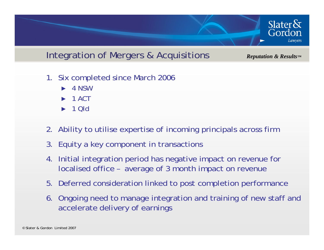

## Integration of Mergers & Acquisitions

*Reputation & Results™*

- 1. Six completed since March 2006
	- ►4 NSW
	- ►1 ACT
	- ►1 Qld
- 2. Ability to utilise expertise of incoming principals across firm
- 3. Equity a key component in transactions
- 4. Initial integration period has negative impact on revenue for localised office – average of 3 month impact on revenue
- 5. Deferred consideration linked to post completion performance
- 6. Ongoing need to manage integration and training of new staff and accelerate delivery of earnings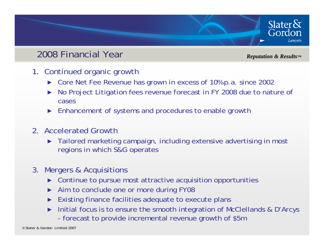## 2008 Financial Year

*Reputation & Results™*

Slater $\&$ Gordon

- 1. Continued organic growth
	- ► Core Net Fee Revenue has grown in excess of 10% p.a. since 2002
	- ► No Project Litigation fees revenue forecast in FY 2008 due to nature of cases
	- ► Enhancement of systems and procedures to enable growth
- 2. Accelerated Growth
	- ► Tailored marketing campaign, including extensive advertising in most regions in which S&G operates
- 3. Mergers & Acquisitions
	- ►Continue to pursue most attractive acquisition opportunities
	- ►Aim to conclude one or more during FY08
	- ►Existing finance facilities adequate to execute plans
	- ► Initial focus is to ensure the smooth integration of McClellands & D'Arcys
		- forecast to provide incremental revenue growth of \$5m